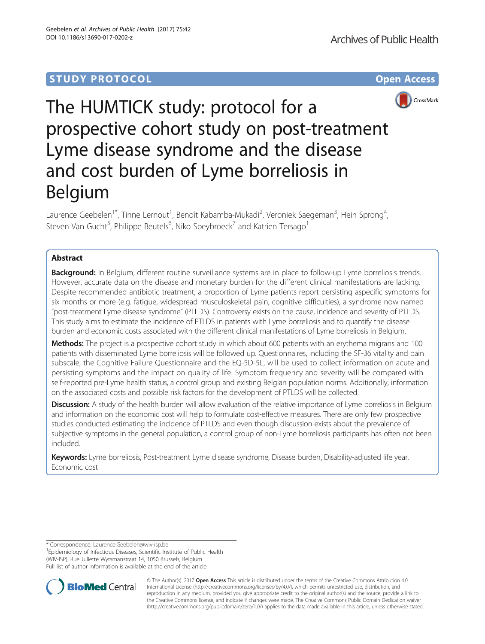# **STUDY PROTOCOL CONSUMING THE CONSUMING OPEN ACCESS**



The HUMTICK study: protocol for a prospective cohort study on post-treatment Lyme disease syndrome and the disease and cost burden of Lyme borreliosis in Belgium

Laurence Geebelen $^{\text{1*}}$ , Tinne Lernout $^{\text{1}}$ , Benoît Kabamba-Mukadi $^{\text{2}}$ , Veroniek Saegeman $^{\text{3}}$ , Hein Sprong $^{\text{4}}$ , Steven Van Gucht<sup>5</sup>, Philippe Beutels<sup>6</sup>, Niko Speybroeck<sup>7</sup> and Katrien Tersago<sup>1</sup>

## Abstract

**Background:** In Belgium, different routine surveillance systems are in place to follow-up Lyme borreliosis trends. However, accurate data on the disease and monetary burden for the different clinical manifestations are lacking. Despite recommended antibiotic treatment, a proportion of Lyme patients report persisting aspecific symptoms for six months or more (e.g. fatigue, widespread musculoskeletal pain, cognitive difficulties), a syndrome now named "post-treatment Lyme disease syndrome" (PTLDS). Controversy exists on the cause, incidence and severity of PTLDS. This study aims to estimate the incidence of PTLDS in patients with Lyme borreliosis and to quantify the disease burden and economic costs associated with the different clinical manifestations of Lyme borreliosis in Belgium.

Methods: The project is a prospective cohort study in which about 600 patients with an erythema migrans and 100 patients with disseminated Lyme borreliosis will be followed up. Questionnaires, including the SF-36 vitality and pain subscale, the Cognitive Failure Questionnaire and the EQ-5D-5L, will be used to collect information on acute and persisting symptoms and the impact on quality of life. Symptom frequency and severity will be compared with self-reported pre-Lyme health status, a control group and existing Belgian population norms. Additionally, information on the associated costs and possible risk factors for the development of PTLDS will be collected.

Discussion: A study of the health burden will allow evaluation of the relative importance of Lyme borreliosis in Belgium and information on the economic cost will help to formulate cost-effective measures. There are only few prospective studies conducted estimating the incidence of PTLDS and even though discussion exists about the prevalence of subjective symptoms in the general population, a control group of non-Lyme borreliosis participants has often not been included.

Keywords: Lyme borreliosis, Post-treatment Lyme disease syndrome, Disease burden, Disability-adjusted life year, Economic cost

<sup>1</sup> Epidemiology of Infectious Diseases, Scientific Institute of Public Health (WIV-ISP), Rue Juliette Wytsmanstraat 14, 1050 Brussels, Belgium Full list of author information is available at the end of the article



© The Author(s). 2017 **Open Access** This article is distributed under the terms of the Creative Commons Attribution 4.0 International License [\(http://creativecommons.org/licenses/by/4.0/](http://creativecommons.org/licenses/by/4.0/)), which permits unrestricted use, distribution, and reproduction in any medium, provided you give appropriate credit to the original author(s) and the source, provide a link to the Creative Commons license, and indicate if changes were made. The Creative Commons Public Domain Dedication waiver [\(http://creativecommons.org/publicdomain/zero/1.0/](http://creativecommons.org/publicdomain/zero/1.0/)) applies to the data made available in this article, unless otherwise stated.

<sup>\*</sup> Correspondence: [Laurence.Geebelen@wiv-isp.be](mailto:Laurence.Geebelen@wiv-isp.be) <sup>1</sup>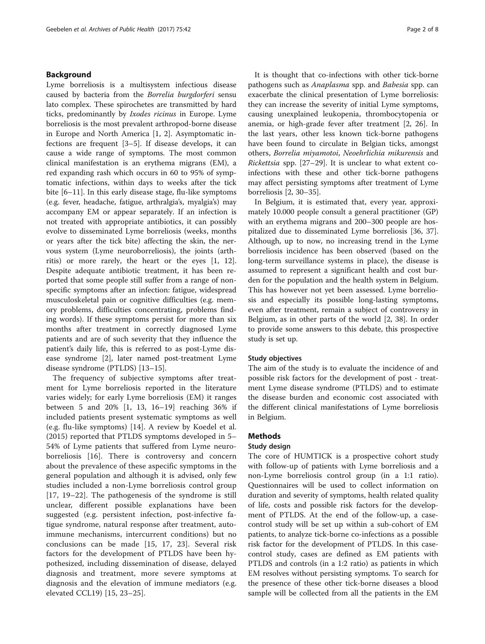### Background

Lyme borreliosis is a multisystem infectious disease caused by bacteria from the Borrelia burgdorferi sensu lato complex. These spirochetes are transmitted by hard ticks, predominantly by Ixodes ricinus in Europe. Lyme borreliosis is the most prevalent arthropod-borne disease in Europe and North America [[1](#page-6-0), [2](#page-6-0)]. Asymptomatic infections are frequent [\[3](#page-6-0)–[5\]](#page-6-0). If disease develops, it can cause a wide range of symptoms. The most common clinical manifestation is an erythema migrans (EM), a red expanding rash which occurs in 60 to 95% of symptomatic infections, within days to weeks after the tick bite [\[6](#page-6-0)–[11\]](#page-6-0). In this early disease stage, flu-like symptoms (e.g. fever, headache, fatigue, arthralgia's, myalgia's) may accompany EM or appear separately. If an infection is not treated with appropriate antibiotics, it can possibly evolve to disseminated Lyme borreliosis (weeks, months or years after the tick bite) affecting the skin, the nervous system (Lyme neuroborreliosis), the joints (arthritis) or more rarely, the heart or the eyes [\[1](#page-6-0), [12](#page-6-0)]. Despite adequate antibiotic treatment, it has been reported that some people still suffer from a range of nonspecific symptoms after an infection: fatigue, widespread musculoskeletal pain or cognitive difficulties (e.g. memory problems, difficulties concentrating, problems finding words). If these symptoms persist for more than six months after treatment in correctly diagnosed Lyme patients and are of such severity that they influence the patient's daily life, this is referred to as post-Lyme disease syndrome [[2](#page-6-0)], later named post-treatment Lyme disease syndrome (PTLDS) [[13](#page-6-0)–[15](#page-6-0)].

The frequency of subjective symptoms after treatment for Lyme borreliosis reported in the literature varies widely; for early Lyme borreliosis (EM) it ranges between 5 and 20% [[1, 13, 16](#page-6-0)–[19\]](#page-6-0) reaching 36% if included patients present systematic symptoms as well (e.g. flu-like symptoms) [\[14](#page-6-0)]. A review by Koedel et al. (2015) reported that PTLDS symptoms developed in 5– 54% of Lyme patients that suffered from Lyme neuroborreliosis [\[16](#page-6-0)]. There is controversy and concern about the prevalence of these aspecific symptoms in the general population and although it is advised, only few studies included a non-Lyme borreliosis control group [[17, 19](#page-6-0)–[22](#page-6-0)]. The pathogenesis of the syndrome is still unclear, different possible explanations have been suggested (e.g. persistent infection, post-infective fatigue syndrome, natural response after treatment, autoimmune mechanisms, intercurrent conditions) but no conclusions can be made [[15, 17](#page-6-0), [23\]](#page-6-0). Several risk factors for the development of PTLDS have been hypothesized, including dissemination of disease, delayed diagnosis and treatment, more severe symptoms at diagnosis and the elevation of immune mediators (e.g. elevated CCL19) [[15, 23](#page-6-0)–[25](#page-6-0)].

It is thought that co-infections with other tick-borne pathogens such as *Anaplasma* spp. and *Babesia* spp. can exacerbate the clinical presentation of Lyme borreliosis: they can increase the severity of initial Lyme symptoms, causing unexplained leukopenia, thrombocytopenia or anemia, or high-grade fever after treatment [\[2](#page-6-0), [26\]](#page-6-0). In the last years, other less known tick-borne pathogens have been found to circulate in Belgian ticks, amongst others, Borrelia miyamotoi, Neoehrlichia mikurensis and Rickettsia spp. [\[27](#page-6-0)–[29\]](#page-6-0). It is unclear to what extent coinfections with these and other tick-borne pathogens may affect persisting symptoms after treatment of Lyme borreliosis [\[2](#page-6-0), [30](#page-6-0)–[35\]](#page-6-0).

In Belgium, it is estimated that, every year, approximately 10.000 people consult a general practitioner (GP) with an erythema migrans and 200–300 people are hospitalized due to disseminated Lyme borreliosis [\[36](#page-6-0), [37](#page-6-0)]. Although, up to now, no increasing trend in the Lyme borreliosis incidence has been observed (based on the long-term surveillance systems in place), the disease is assumed to represent a significant health and cost burden for the population and the health system in Belgium. This has however not yet been assessed. Lyme borreliosis and especially its possible long-lasting symptoms, even after treatment, remain a subject of controversy in Belgium, as in other parts of the world [[2, 38](#page-6-0)]. In order to provide some answers to this debate, this prospective study is set up.

#### Study objectives

The aim of the study is to evaluate the incidence of and possible risk factors for the development of post - treatment Lyme disease syndrome (PTLDS) and to estimate the disease burden and economic cost associated with the different clinical manifestations of Lyme borreliosis in Belgium.

### **Methods**

#### Study design

The core of HUMTICK is a prospective cohort study with follow-up of patients with Lyme borreliosis and a non-Lyme borreliosis control group (in a 1:1 ratio). Questionnaires will be used to collect information on duration and severity of symptoms, health related quality of life, costs and possible risk factors for the development of PTLDS. At the end of the follow-up, a casecontrol study will be set up within a sub-cohort of EM patients, to analyze tick-borne co-infections as a possible risk factor for the development of PTLDS. In this casecontrol study, cases are defined as EM patients with PTLDS and controls (in a 1:2 ratio) as patients in which EM resolves without persisting symptoms. To search for the presence of these other tick-borne diseases a blood sample will be collected from all the patients in the EM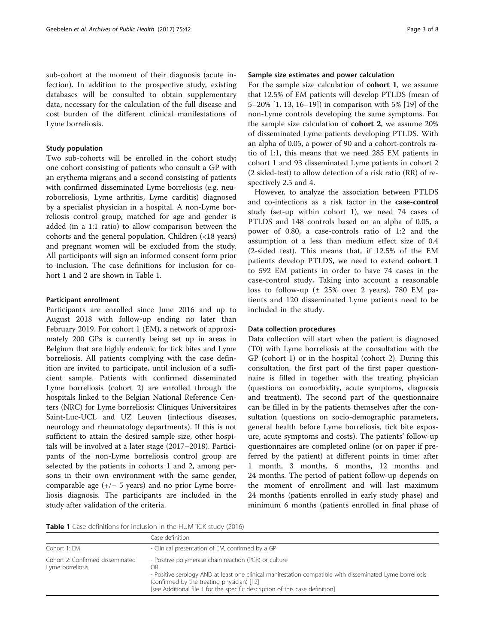sub-cohort at the moment of their diagnosis (acute infection). In addition to the prospective study, existing databases will be consulted to obtain supplementary data, necessary for the calculation of the full disease and cost burden of the different clinical manifestations of Lyme borreliosis.

### Study population

Two sub-cohorts will be enrolled in the cohort study; one cohort consisting of patients who consult a GP with an erythema migrans and a second consisting of patients with confirmed disseminated Lyme borreliosis (e.g. neuroborreliosis, Lyme arthritis, Lyme carditis) diagnosed by a specialist physician in a hospital. A non-Lyme borreliosis control group, matched for age and gender is added (in a 1:1 ratio) to allow comparison between the cohorts and the general population. Children (<18 years) and pregnant women will be excluded from the study. All participants will sign an informed consent form prior to inclusion. The case definitions for inclusion for cohort 1 and 2 are shown in Table 1.

#### Participant enrollment

Participants are enrolled since June 2016 and up to August 2018 with follow-up ending no later than February 2019. For cohort 1 (EM), a network of approximately 200 GPs is currently being set up in areas in Belgium that are highly endemic for tick bites and Lyme borreliosis. All patients complying with the case definition are invited to participate, until inclusion of a sufficient sample. Patients with confirmed disseminated Lyme borreliosis (cohort 2) are enrolled through the hospitals linked to the Belgian National Reference Centers (NRC) for Lyme borreliosis: Cliniques Universitaires Saint-Luc-UCL and UZ Leuven (infectious diseases, neurology and rheumatology departments). If this is not sufficient to attain the desired sample size, other hospitals will be involved at a later stage (2017–2018). Participants of the non-Lyme borreliosis control group are selected by the patients in cohorts 1 and 2, among persons in their own environment with the same gender, comparable age (+/− 5 years) and no prior Lyme borreliosis diagnosis. The participants are included in the study after validation of the criteria.

#### Sample size estimates and power calculation

For the sample size calculation of cohort 1, we assume that 12.5% of EM patients will develop PTLDS (mean of 5–20% [\[1](#page-6-0), [13](#page-6-0), [16](#page-6-0)–[19\]](#page-6-0)) in comparison with 5% [[19\]](#page-6-0) of the non-Lyme controls developing the same symptoms. For the sample size calculation of cohort 2, we assume 20% of disseminated Lyme patients developing PTLDS. With an alpha of 0.05, a power of 90 and a cohort-controls ratio of 1:1, this means that we need 285 EM patients in cohort 1 and 93 disseminated Lyme patients in cohort 2 (2 sided-test) to allow detection of a risk ratio (RR) of respectively 2.5 and 4.

However, to analyze the association between PTLDS and co-infections as a risk factor in the case-control study (set-up within cohort 1), we need 74 cases of PTLDS and 148 controls based on an alpha of 0.05, a power of 0.80, a case-controls ratio of 1:2 and the assumption of a less than medium effect size of 0.4 (2-sided test). This means that, if 12.5% of the EM patients develop PTLDS, we need to extend cohort 1 to 592 EM patients in order to have 74 cases in the case-control study. Taking into account a reasonable loss to follow-up  $(\pm 25\%$  over 2 years), 780 EM patients and 120 disseminated Lyme patients need to be included in the study.

### Data collection procedures

Data collection will start when the patient is diagnosed (T0) with Lyme borreliosis at the consultation with the GP (cohort 1) or in the hospital (cohort 2). During this consultation, the first part of the first paper questionnaire is filled in together with the treating physician (questions on comorbidity, acute symptoms, diagnosis and treatment). The second part of the questionnaire can be filled in by the patients themselves after the consultation (questions on socio-demographic parameters, general health before Lyme borreliosis, tick bite exposure, acute symptoms and costs). The patients' follow-up questionnaires are completed online (or on paper if preferred by the patient) at different points in time: after 1 month, 3 months, 6 months, 12 months and 24 months. The period of patient follow-up depends on the moment of enrollment and will last maximum 24 months (patients enrolled in early study phase) and minimum 6 months (patients enrolled in final phase of

Table 1 Case definitions for inclusion in the HUMTICK study (2016)

|                                                      | Case definition                                                                                                                                                                                                                                                                                        |
|------------------------------------------------------|--------------------------------------------------------------------------------------------------------------------------------------------------------------------------------------------------------------------------------------------------------------------------------------------------------|
| Cohort 1: EM                                         | - Clinical presentation of EM, confirmed by a GP                                                                                                                                                                                                                                                       |
| Cohort 2: Confirmed disseminated<br>Lyme borreliosis | - Positive polymerase chain reaction (PCR) or culture<br>OR<br>- Positive serology AND at least one clinical manifestation compatible with disseminated Lyme borreliosis<br>(confirmed by the treating physician) [12]<br>[see Additional file 1 for the specific description of this case definition] |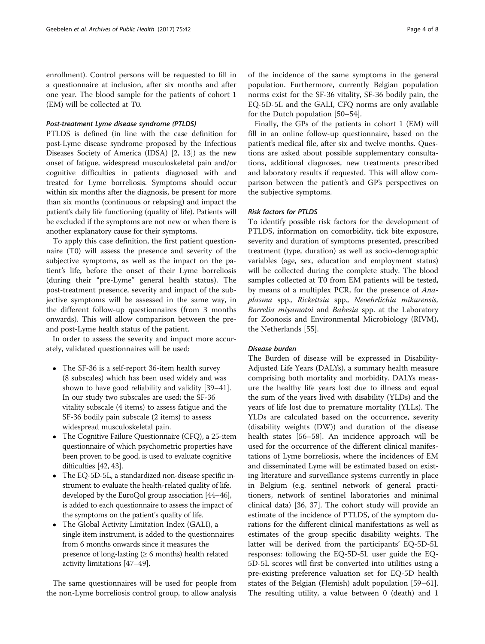enrollment). Control persons will be requested to fill in a questionnaire at inclusion, after six months and after one year. The blood sample for the patients of cohort 1 (EM) will be collected at T0.

#### Post-treatment Lyme disease syndrome (PTLDS)

PTLDS is defined (in line with the case definition for post-Lyme disease syndrome proposed by the Infectious Diseases Society of America (IDSA) [\[2](#page-6-0), [13](#page-6-0)]) as the new onset of fatigue, widespread musculoskeletal pain and/or cognitive difficulties in patients diagnosed with and treated for Lyme borreliosis. Symptoms should occur within six months after the diagnosis, be present for more than six months (continuous or relapsing) and impact the patient's daily life functioning (quality of life). Patients will be excluded if the symptoms are not new or when there is another explanatory cause for their symptoms.

To apply this case definition, the first patient questionnaire (T0) will assess the presence and severity of the subjective symptoms, as well as the impact on the patient's life, before the onset of their Lyme borreliosis (during their "pre-Lyme" general health status). The post-treatment presence, severity and impact of the subjective symptoms will be assessed in the same way, in the different follow-up questionnaires (from 3 months onwards). This will allow comparison between the preand post-Lyme health status of the patient.

In order to assess the severity and impact more accurately, validated questionnaires will be used:

- The SF-36 is a self-report 36-item health survey (8 subscales) which has been used widely and was shown to have good reliability and validity [[39](#page-7-0)–[41\]](#page-7-0). In our study two subscales are used; the SF-36 vitality subscale (4 items) to assess fatigue and the SF-36 bodily pain subscale (2 items) to assess widespread musculoskeletal pain.
- The Cognitive Failure Questionnaire (CFQ), a 25-item questionnaire of which psychometric properties have been proven to be good, is used to evaluate cognitive difficulties [[42,](#page-7-0) [43](#page-7-0)].
- The EQ-5D-5L, a standardized non-disease specific instrument to evaluate the health-related quality of life, developed by the EuroQol group association [\[44](#page-7-0)–[46](#page-7-0)], is added to each questionnaire to assess the impact of the symptoms on the patient's quality of life.
- The Global Activity Limitation Index (GALI), a single item instrument, is added to the questionnaires from 6 months onwards since it measures the presence of long-lasting ( $\geq 6$  months) health related activity limitations [[47](#page-7-0)–[49](#page-7-0)].

The same questionnaires will be used for people from the non-Lyme borreliosis control group, to allow analysis

of the incidence of the same symptoms in the general population. Furthermore, currently Belgian population norms exist for the SF-36 vitality, SF-36 bodily pain, the EQ-5D-5L and the GALI, CFQ norms are only available for the Dutch population [[50](#page-7-0)–[54](#page-7-0)].

Finally, the GPs of the patients in cohort 1 (EM) will fill in an online follow-up questionnaire, based on the patient's medical file, after six and twelve months. Questions are asked about possible supplementary consultations, additional diagnoses, new treatments prescribed and laboratory results if requested. This will allow comparison between the patient's and GP's perspectives on the subjective symptoms.

### Risk factors for PTLDS

To identify possible risk factors for the development of PTLDS, information on comorbidity, tick bite exposure, severity and duration of symptoms presented, prescribed treatment (type, duration) as well as socio-demographic variables (age, sex, education and employment status) will be collected during the complete study. The blood samples collected at T0 from EM patients will be tested, by means of a multiplex PCR, for the presence of Anaplasma spp., Rickettsia spp., Neoehrlichia mikurensis, Borrelia miyamotoi and Babesia spp. at the Laboratory for Zoonosis and Environmental Microbiology (RIVM), the Netherlands [\[55](#page-7-0)].

### Disease burden

The Burden of disease will be expressed in Disability-Adjusted Life Years (DALYs), a summary health measure comprising both mortality and morbidity. DALYs measure the healthy life years lost due to illness and equal the sum of the years lived with disability (YLDs) and the years of life lost due to premature mortality (YLLs). The YLDs are calculated based on the occurrence, severity (disability weights (DW)) and duration of the disease health states [[56](#page-7-0)–[58](#page-7-0)]. An incidence approach will be used for the occurrence of the different clinical manifestations of Lyme borreliosis, where the incidences of EM and disseminated Lyme will be estimated based on existing literature and surveillance systems currently in place in Belgium (e.g. sentinel network of general practitioners, network of sentinel laboratories and minimal clinical data) [[36, 37](#page-6-0)]. The cohort study will provide an estimate of the incidence of PTLDS, of the symptom durations for the different clinical manifestations as well as estimates of the group specific disability weights. The latter will be derived from the participants' EQ-5D-5L responses: following the EQ-5D-5L user guide the EQ-5D-5L scores will first be converted into utilities using a pre-existing preference valuation set for EQ-5D health states of the Belgian (Flemish) adult population [[59](#page-7-0)–[61](#page-7-0)]. The resulting utility, a value between 0 (death) and 1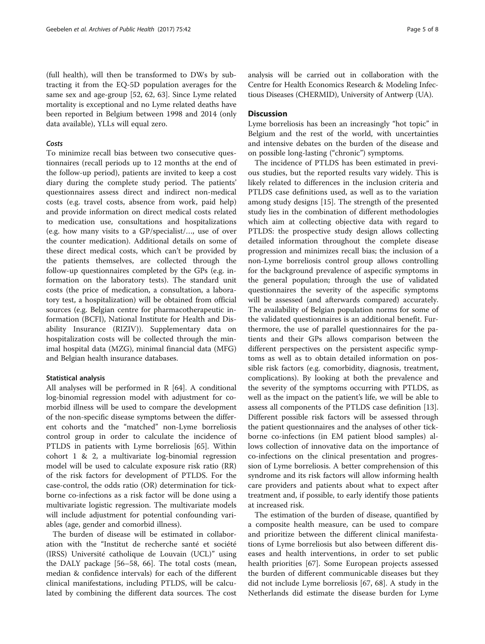(full health), will then be transformed to DWs by subtracting it from the EQ-5D population averages for the same sex and age-group [[52, 62, 63](#page-7-0)]. Since Lyme related mortality is exceptional and no Lyme related deaths have been reported in Belgium between 1998 and 2014 (only data available), YLLs will equal zero.

### Costs

To minimize recall bias between two consecutive questionnaires (recall periods up to 12 months at the end of the follow-up period), patients are invited to keep a cost diary during the complete study period. The patients' questionnaires assess direct and indirect non-medical costs (e.g. travel costs, absence from work, paid help) and provide information on direct medical costs related to medication use, consultations and hospitalizations (e.g. how many visits to a GP/specialist/…, use of over the counter medication). Additional details on some of these direct medical costs, which can't be provided by the patients themselves, are collected through the follow-up questionnaires completed by the GPs (e.g. information on the laboratory tests). The standard unit costs (the price of medication, a consultation, a laboratory test, a hospitalization) will be obtained from official sources (e.g. Belgian centre for pharmacotherapeutic information (BCFI), National Institute for Health and Disability Insurance (RIZIV)). Supplementary data on hospitalization costs will be collected through the minimal hospital data (MZG), minimal financial data (MFG) and Belgian health insurance databases.

### Statistical analysis

All analyses will be performed in R [\[64](#page-7-0)]. A conditional log-binomial regression model with adjustment for comorbid illness will be used to compare the development of the non-specific disease symptoms between the different cohorts and the "matched" non-Lyme borreliosis control group in order to calculate the incidence of PTLDS in patients with Lyme borreliosis [[65](#page-7-0)]. Within cohort 1 & 2, a multivariate log-binomial regression model will be used to calculate exposure risk ratio (RR) of the risk factors for development of PTLDS. For the case-control, the odds ratio (OR) determination for tickborne co-infections as a risk factor will be done using a multivariate logistic regression. The multivariate models will include adjustment for potential confounding variables (age, gender and comorbid illness).

The burden of disease will be estimated in collaboration with the "Institut de recherche santé et société (IRSS) Université catholique de Louvain (UCL)" using the DALY package [\[56](#page-7-0)–[58, 66](#page-7-0)]. The total costs (mean, median & confidence intervals) for each of the different clinical manifestations, including PTLDS, will be calculated by combining the different data sources. The cost analysis will be carried out in collaboration with the Centre for Health Economics Research & Modeling Infectious Diseases (CHERMID), University of Antwerp (UA).

### **Discussion**

Lyme borreliosis has been an increasingly "hot topic" in Belgium and the rest of the world, with uncertainties and intensive debates on the burden of the disease and on possible long-lasting ("chronic") symptoms.

The incidence of PTLDS has been estimated in previous studies, but the reported results vary widely. This is likely related to differences in the inclusion criteria and PTLDS case definitions used, as well as to the variation among study designs [\[15\]](#page-6-0). The strength of the presented study lies in the combination of different methodologies which aim at collecting objective data with regard to PTLDS: the prospective study design allows collecting detailed information throughout the complete disease progression and minimizes recall bias; the inclusion of a non-Lyme borreliosis control group allows controlling for the background prevalence of aspecific symptoms in the general population; through the use of validated questionnaires the severity of the aspecific symptoms will be assessed (and afterwards compared) accurately. The availability of Belgian population norms for some of the validated questionnaires is an additional benefit. Furthermore, the use of parallel questionnaires for the patients and their GPs allows comparison between the different perspectives on the persistent aspecific symptoms as well as to obtain detailed information on possible risk factors (e.g. comorbidity, diagnosis, treatment, complications). By looking at both the prevalence and the severity of the symptoms occurring with PTLDS, as well as the impact on the patient's life, we will be able to assess all components of the PTLDS case definition [\[13](#page-6-0)]. Different possible risk factors will be assessed through the patient questionnaires and the analyses of other tickborne co-infections (in EM patient blood samples) allows collection of innovative data on the importance of co-infections on the clinical presentation and progression of Lyme borreliosis. A better comprehension of this syndrome and its risk factors will allow informing health care providers and patients about what to expect after treatment and, if possible, to early identify those patients at increased risk.

The estimation of the burden of disease, quantified by a composite health measure, can be used to compare and prioritize between the different clinical manifestations of Lyme borreliosis but also between different diseases and health interventions, in order to set public health priorities [\[67](#page-7-0)]. Some European projects assessed the burden of different communicable diseases but they did not include Lyme borreliosis [\[67](#page-7-0), [68](#page-7-0)]. A study in the Netherlands did estimate the disease burden for Lyme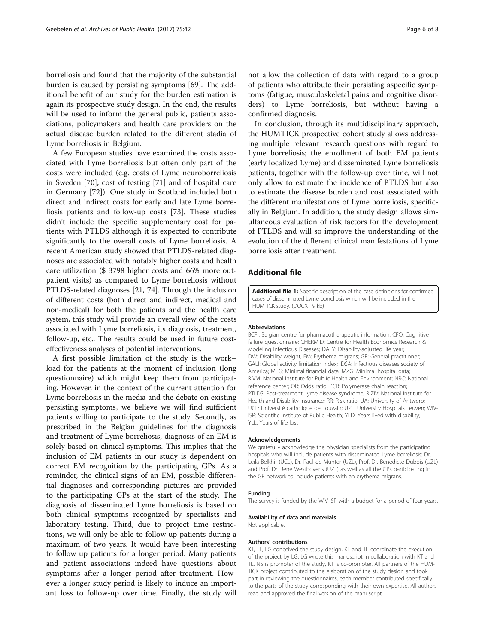<span id="page-5-0"></span>borreliosis and found that the majority of the substantial burden is caused by persisting symptoms [\[69\]](#page-7-0). The additional benefit of our study for the burden estimation is again its prospective study design. In the end, the results will be used to inform the general public, patients associations, policymakers and health care providers on the actual disease burden related to the different stadia of Lyme borreliosis in Belgium.

A few European studies have examined the costs associated with Lyme borreliosis but often only part of the costs were included (e.g. costs of Lyme neuroborreliosis in Sweden [\[70](#page-7-0)], cost of testing [[71\]](#page-7-0) and of hospital care in Germany [\[72\]](#page-7-0)). One study in Scotland included both direct and indirect costs for early and late Lyme borreliosis patients and follow-up costs [[73](#page-7-0)]. These studies didn't include the specific supplementary cost for patients with PTLDS although it is expected to contribute significantly to the overall costs of Lyme borreliosis. A recent American study showed that PTLDS-related diagnoses are associated with notably higher costs and health care utilization (\$ 3798 higher costs and 66% more outpatient visits) as compared to Lyme borreliosis without PTLDS-related diagnoses [[21](#page-6-0), [74\]](#page-7-0). Through the inclusion of different costs (both direct and indirect, medical and non-medical) for both the patients and the health care system, this study will provide an overall view of the costs associated with Lyme borreliosis, its diagnosis, treatment, follow-up, etc.. The results could be used in future costeffectiveness analyses of potential interventions.

A first possible limitation of the study is the work– load for the patients at the moment of inclusion (long questionnaire) which might keep them from participating. However, in the context of the current attention for Lyme borreliosis in the media and the debate on existing persisting symptoms, we believe we will find sufficient patients willing to participate to the study. Secondly, as prescribed in the Belgian guidelines for the diagnosis and treatment of Lyme borreliosis, diagnosis of an EM is solely based on clinical symptoms. This implies that the inclusion of EM patients in our study is dependent on correct EM recognition by the participating GPs. As a reminder, the clinical signs of an EM, possible differential diagnoses and corresponding pictures are provided to the participating GPs at the start of the study. The diagnosis of disseminated Lyme borreliosis is based on both clinical symptoms recognized by specialists and laboratory testing. Third, due to project time restrictions, we will only be able to follow up patients during a maximum of two years. It would have been interesting to follow up patients for a longer period. Many patients and patient associations indeed have questions about symptoms after a longer period after treatment. However a longer study period is likely to induce an important loss to follow-up over time. Finally, the study will not allow the collection of data with regard to a group of patients who attribute their persisting aspecific symptoms (fatigue, musculoskeletal pains and cognitive disorders) to Lyme borreliosis, but without having a confirmed diagnosis.

In conclusion, through its multidisciplinary approach, the HUMTICK prospective cohort study allows addressing multiple relevant research questions with regard to Lyme borreliosis; the enrollment of both EM patients (early localized Lyme) and disseminated Lyme borreliosis patients, together with the follow-up over time, will not only allow to estimate the incidence of PTLDS but also to estimate the disease burden and cost associated with the different manifestations of Lyme borreliosis, specifically in Belgium. In addition, the study design allows simultaneous evaluation of risk factors for the development of PTLDS and will so improve the understanding of the evolution of the different clinical manifestations of Lyme borreliosis after treatment.

### Additional file

[Additional file 1:](dx.doi.org/10.1186/s13690-017-0202-z) Specific description of the case definitions for confirmed cases of disseminated Lyme borreliosis which will be included in the HUMTICK study. (DOCX 19 kb)

#### Abbreviations

BCFI: Belgian centre for pharmacotherapeutic information; CFQ: Cognitive failure questionnaire; CHERMID: Centre for Health Economics Research & Modeling Infectious Diseases; DALY: Disability-adjusted life year; DW: Disability weight; EM: Erythema migrans; GP: General practitioner; GALI: Global activity limitation index; IDSA: Infectious diseases society of America; MFG: Minimal financial data; MZG: Minimal hospital data; RIVM: National Institute for Public Health and Environment; NRC: National reference center; OR: Odds ratio; PCR: Polymerase chain reaction; PTLDS: Post-treatment Lyme disease syndrome; RIZIV: National Institute for Health and Disability Insurance; RR: Risk ratio; UA: University of Antwerp; UCL: Université catholique de Louvain; UZL: University Hospitals Leuven; WIV-ISP: Scientific Institute of Public Health; YLD: Years lived with disability; YLL: Years of life lost

#### Acknowledgements

We gratefully acknowledge the physician specialists from the participating hospitals who will include patients with disseminated Lyme borreliosis: Dr. Leïla Belkhir (UCL), Dr. Paul de Munter (UZL), Prof. Dr. Benedicte Dubois (UZL) and Prof. Dr. Rene Westhovens (UZL) as well as all the GPs participating in the GP network to include patients with an erythema migrans.

#### Funding

The survey is funded by the WIV-ISP with a budget for a period of four years.

#### Availability of data and materials

Not applicable.

#### Authors' contributions

KT, TL, LG conceived the study design, KT and TL coordinate the execution of the project by LG. LG wrote this manuscript in collaboration with KT and TL. NS is promoter of the study, KT is co-promoter. All partners of the HUM-TICK project contributed to the elaboration of the study design and took part in reviewing the questionnaires, each member contributed specifically to the parts of the study corresponding with their own expertise. All authors read and approved the final version of the manuscript.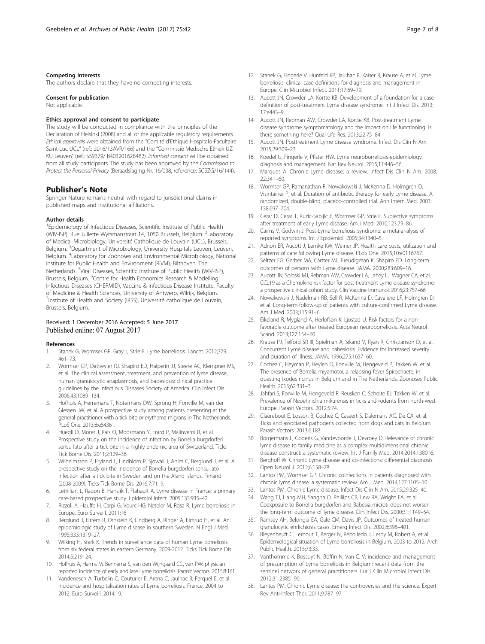#### <span id="page-6-0"></span>Competing interests

The authors declare that they have no competing interests.

#### Consent for publication

Not applicable.

#### Ethics approval and consent to participate

The study will be conducted in compliance with the principles of the Declaration of Helsinki (2008) and all of the applicable regulatory requirements. Ethical approvals were obtained from the "Comité d'Ethique Hospitalo-Facultaire Saint-Luc UCL" (ref.: 2016/13AVR/166) and the "Commissie Medische Ethiek UZ KU Leuven" (ref.: S59379/ B403201628482). Informed consent will be obtained from all study participants. The study has been approved by the Commission to Protect the Personal Privacy (Beraadslaging Nr. 16/038, reference: SCSZG/16/144).

#### Publisher's Note

Springer Nature remains neutral with regard to jurisdictional claims in published maps and institutional affiliations.

#### Author details

<sup>1</sup> Epidemiology of Infectious Diseases, Scientific Institute of Public Health (WIV-ISP), Rue Juliette Wytsmanstraat 14, 1050 Brussels, Belgium. <sup>2</sup>Laboratory of Medical Microbiology, Université Catholique de Louvain (UCL), Brussels, Belgium. <sup>3</sup>Department of Microbiology, University Hospitals Leuven, Leuven, Belgium. <sup>4</sup>Laboratory for Zoonoses and Environmental Microbiology, National Institute for Public Health and Environment (RIVM), Bilthoven, The Netherlands. <sup>5</sup>Viral Diseases, Scientific Institute of Public Health (WIV-ISP), Brussels, Belgium. <sup>6</sup>Centre for Health Economics Research & Modelling Infectious Diseases (CHERMID), Vaccine & Infectious Disease Institute, Faculty of Medicine & Health Sciences, University of Antwerp, Wilrijk, Belgium. <sup>7</sup>Institute of Health and Society (IRSS), Université catholique de Louvain, Brussels, Belgium.

### Received: 1 December 2016 Accepted: 5 June 2017 Published online: 07 August 2017

#### References

- Stanek G, Wormser GP, Gray J, Strle F. Lyme borreliosis. Lancet. 2012;379: 461–73.
- 2. Wormser GP, Dattwyler RJ, Shapiro ED, Halperin JJ, Steere AC, Klempner MS, et al. The clinical assessment, treatment, and prevention of lyme disease, human granulocytic anaplasmosis, and babesiosis: clinical practice guidelines by the Infectious Diseases Society of America. Clin Infect Dis. 2006;43:1089–134.
- 3. Hofhuis A, Herremans T, Notermans DW, Sprong H, Fonville M, van der Giessen JW, et al. A prospective study among patients presenting at the general practitioner with a tick bite or erythema migrans in The Netherlands. PLoS One. 2013;8:e64361.
- 4. Huegli D, Moret J, Rais O, Moosmann Y, Erard P, Malinverni R, et al. Prospective study on the incidence of infection by Borrelia burgdorferi sensu lato after a tick bite in a highly endemic area of Switzerland. Ticks Tick Borne Dis. 2011;2:129–36.
- 5. Wilhelmsson P, Fryland L, Lindblom P, Sjowall J, Ahlm C, Berglund J, et al. A prospective study on the incidence of Borrelia burgdorferi sensu lato infection after a tick bite in Sweden and on the Aland Islands, Finland (2008-2009). Ticks Tick Borne Dis. 2016;7:71–9.
- 6. Letrilliart L, Ragon B, Hanslik T, Flahault A. Lyme disease in France: a primary care-based prospective study. Epidemiol Infect. 2005;133:935–42.
- 7. Rizzoli A, Hauffe H, Carpi G, Vourc HG, Neteler M, Rosa R. Lyme borreliosis in Europe. Euro Surveill. 2011;16
- 8. Berglund J, Eitrem R, Ornstein K, Lindberg A, Ringer A, Elmrud H, et al. An epidemiologic study of Lyme disease in southern Sweden. N Engl J Med. 1995;333:1319–27.
- 9. Wilking H, Stark K. Trends in surveillance data of human Lyme borreliosis from six federal states in eastern Germany, 2009-2012. Ticks Tick Borne Dis. 2014;5:219–24.
- 10. Hofhuis A, Harms M. Bennema S, van den Wijngaard CC, van PW: physician reported incidence of early and late Lyme borreliosis. Parasit Vectors. 2015;8:161.
- 11. Vandenesch A, Turbelin C, Couturier E, Arena C, Jaulhac B, Ferquel E, et al. Incidence and hospitalisation rates of Lyme borreliosis, France, 2004 to 2012. Euro Surveill. 2014:19.
- 12. Stanek G, Fingerle V, Hunfeld KP, Jaulhac B, Kaiser R, Krause A, et al. Lyme borreliosis: clinical case definitions for diagnosis and management in Europe. Clin Microbiol Infect. 2011;17:69–79.
- 13. Aucott JN, Crowder LA, Kortte KB. Development of a foundation for a case definition of post-treatment Lyme disease syndrome. Int J Infect Dis. 2013; 17:e443–9.
- 14. Aucott JN, Rebman AW, Crowder LA, Kortte KB. Post-treatment Lyme disease syndrome symptomatology and the impact on life functioning: is there something here? Qual Life Res. 2013;22:75–84.
- 15. Aucott JN. Posttreatment Lyme disease syndrome. Infect Dis Clin N Am. 2015;29:309–23.
- 16. Koedel U, Fingerle V, Pfister HW. Lyme neuroborreliosis-epidemiology, diagnosis and management. Nat Rev Neurol. 2015;11:446–56.
- 17. Marques A. Chronic Lyme disease: a review. Infect Dis Clin N Am. 2008;  $22.341 - 60$
- 18. Wormser GP, Ramanathan R, Nowakowski J, McKenna D, Holmgren D, Visintainer P, et al. Duration of antibiotic therapy for early Lyme disease. A randomized, double-blind, placebo-controlled trial. Ann Intern Med. 2003; 138:697–704.
- 19. Cerar D, Cerar T, Ruzic-Sabljic E, Wormser GP, Strle F. Subjective symptoms after treatment of early Lyme disease. Am J Med. 2010;123:79–86.
- 20. Cairns V, Godwin J. Post-Lyme borreliosis syndrome: a meta-analysis of reported symptoms. Int J Epidemiol. 2005;34:1340–5.
- 21. Adrion ER, Aucott J, Lemke KW, Weiner JP. Health care costs, utilization and patterns of care following Lyme disease. PLoS One. 2015;10:e0116767.
- 22. Seltzer EG, Gerber MA, Cartter ML, Freudigman K, Shapiro ED. Long-term outcomes of persons with Lyme disease. JAMA. 2000;283:609–16.
- 23. Aucott JN, Soloski MJ, Rebman AW, Crowder LA, Lahey LJ, Wagner CA, et al. CCL19 as a Chemokine risk factor for post-treatment Lyme disease syndrome: a prospective clinical cohort study. Clin Vaccine Immunol. 2016;23:757–66.
- 24. Nowakowski J, Nadelman RB, Sell R, McKenna D, Cavaliere LF, Holmgren D, et al. Long-term follow-up of patients with culture-confirmed Lyme disease. Am J Med. 2003;115:91–6.
- 25. Eikeland R, Mygland A, Herlofson K, Ljostad U. Risk factors for a nonfavorable outcome after treated European neuroborreliosis. Acta Neurol Scand. 2013;127:154–60.
- 26. Krause PJ, Telford SR III, Spielman A, Sikand V, Ryan R, Christianson D, et al. Concurrent Lyme disease and babesiosis. Evidence for increased severity and duration of illness. JAMA. 1996;275:1657–60.
- 27. Cochez C, Heyman P, Heylen D, Fonville M, Hengeveld P, Takken W, et al. The presence of Borrelia miyamotoi, a relapsing fever Spirochaete, in questing Ixodes ricinus in Belgium and in The Netherlands. Zoonoses Public Health. 2015;62:331–3.
- 28. Jahfari S, Fonville M, Hengeveld P, Reusken C, Scholte EJ, Takken W, et al. Prevalence of Neoehrlichia mikurensis in ticks and rodents from north-west Europe. Parasit Vectors. 2012;5:74.
- 29. Claerebout E, Losson B, Cochez C, Casaert S, Dalemans AC, De CA, et al. Ticks and associated pathogens collected from dogs and cats in Belgium. Parasit Vectors. 2013;6:183.
- 30. Borgermans L, Goderis G, Vandevoorde J, Devroey D. Relevance of chronic lyme disease to family medicine as a complex multidimensional chronic disease construct: a systematic review. Int J Family Med. 2014;2014:138016.
- 31. Berghoff W. Chronic Lyme disease and co-infections: differential diagnosis. Open Neurol J. 2012;6:158–78.
- 32. Lantos PM, Wormser GP. Chronic coinfections in patients diagnosed with chronic lyme disease: a systematic review. Am J Med. 2014;127:1105–10.
- 33. Lantos PM. Chronic Lyme disease. Infect Dis Clin N Am. 2015;29:325–40.
- 34. Wang TJ, Liang MH, Sangha O, Phillips CB, Lew RA, Wright EA, et al. Coexposure to Borrelia burgdorferi and Babesia microti does not worsen the long-term outcome of lyme disease. Clin Infect Dis. 2000;31:1149–54.
- 35. Ramsey AH, Belongia EA, Gale CM, Davis JP. Outcomes of treated human granulocytic ehrlichiosis cases. Emerg Infect Dis. 2002;8:398–401.
- 36. Bleyenheuft C, Lernout T, Berger N, Rebolledo J, Leroy M, Robert A, et al. Epidemiological situation of Lyme borreliosis in Belgium, 2003 to 2012. Arch Public Health. 2015;73:33.
- 37. Vanthomme K, Bossuyt N, Boffin N, Van C. V: incidence and management of presumption of Lyme borreliosis in Belgium: recent data from the sentinel network of general practitioners. Eur J Clin Microbiol Infect Dis. 2012;31:2385–90.
- 38. Lantos PM. Chronic Lyme disease: the controversies and the science. Expert Rev Anti-Infect Ther. 2011;9:787–97.